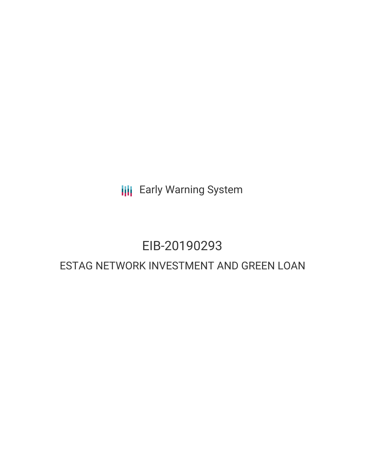**III** Early Warning System

## EIB-20190293

### ESTAG NETWORK INVESTMENT AND GREEN LOAN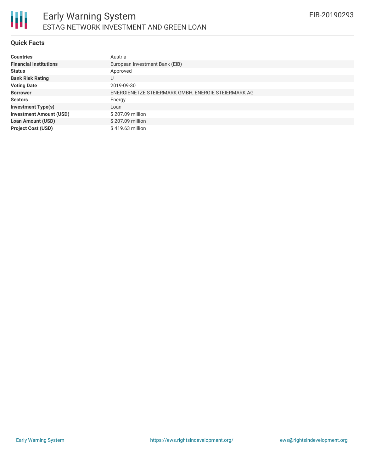#### **Quick Facts**

| <b>Countries</b>               | Austria                                             |
|--------------------------------|-----------------------------------------------------|
| <b>Financial Institutions</b>  | European Investment Bank (EIB)                      |
| <b>Status</b>                  | Approved                                            |
| <b>Bank Risk Rating</b>        | U                                                   |
| <b>Voting Date</b>             | 2019-09-30                                          |
| <b>Borrower</b>                | ENERGIENETZE STEIERMARK GMBH, ENERGIE STEIERMARK AG |
| <b>Sectors</b>                 | Energy                                              |
| <b>Investment Type(s)</b>      | Loan                                                |
| <b>Investment Amount (USD)</b> | \$207.09 million                                    |
| <b>Loan Amount (USD)</b>       | \$207.09 million                                    |
| <b>Project Cost (USD)</b>      | \$419.63 million                                    |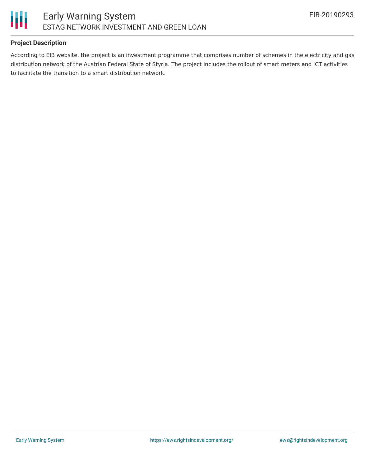

#### **Project Description**

According to EIB website, the project is an investment programme that comprises number of schemes in the electricity and gas distribution network of the Austrian Federal State of Styria. The project includes the rollout of smart meters and ICT activities to facilitate the transition to a smart distribution network.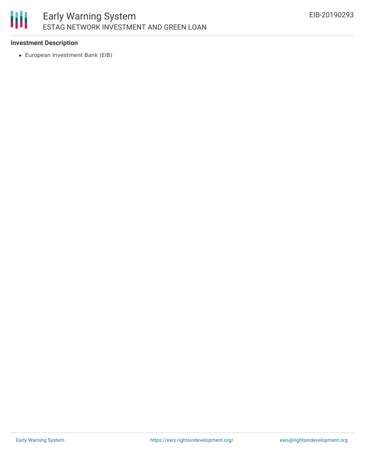#### 朋 Early Warning System ESTAG NETWORK INVESTMENT AND GREEN LOAN

#### **Investment Description**

European Investment Bank (EIB)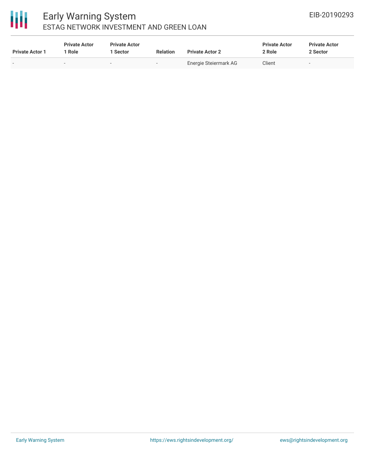# 冊

#### Early Warning System ESTAG NETWORK INVESTMENT AND GREEN LOAN

| <b>Private Actor 1</b> | <b>Private Actor</b><br>1 Role | <b>Private Actor</b><br>1 Sector | <b>Relation</b> | <b>Private Actor 2</b> | <b>Private Actor</b><br>2 Role | <b>Private Actor</b><br>2 Sector |
|------------------------|--------------------------------|----------------------------------|-----------------|------------------------|--------------------------------|----------------------------------|
|                        |                                | $\sim$                           | $\sim$          | Energie Steiermark AG  | Client                         |                                  |